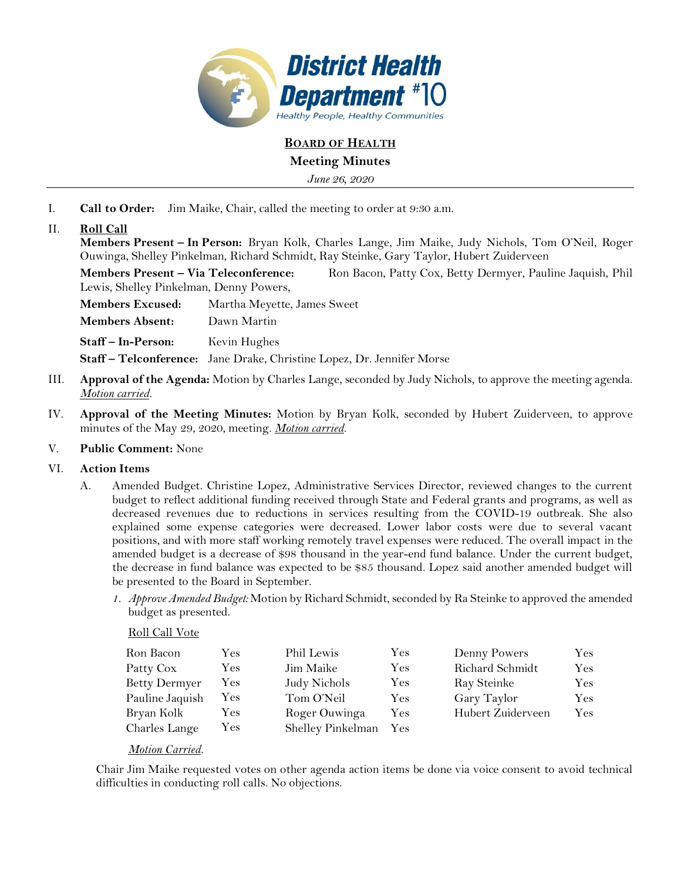

## **BOARD OF HEALTH**

## **Meeting Minutes**

*June 26, 2020*

I. **Call to Order:** Jim Maike, Chair, called the meeting to order at 9:30 a.m.

# II. **Roll Call**

**Members Present – In Person:** Bryan Kolk, Charles Lange, Jim Maike, Judy Nichols, Tom O'Neil, Roger Ouwinga, Shelley Pinkelman, Richard Schmidt, Ray Steinke, Gary Taylor, Hubert Zuiderveen

**Members Present – Via Teleconference:** Ron Bacon, Patty Cox, Betty Dermyer, Pauline Jaquish, Phil Lewis, Shelley Pinkelman, Denny Powers,

**Members Excused:** Martha Meyette, James Sweet **Members Absent:** Dawn Martin **Staff – In-Person:** Kevin Hughes **Staff – Telconference:** Jane Drake, Christine Lopez, Dr. Jennifer Morse

- III. **Approval of the Agenda:** Motion by Charles Lange, seconded by Judy Nichols, to approve the meeting agenda. *Motion carried.*
- IV. **Approval of the Meeting Minutes:** Motion by Bryan Kolk, seconded by Hubert Zuiderveen, to approve minutes of the May 29, 2020, meeting. *Motion carried.*
- V. **Public Comment:** None

### VI. **Action Items**

- A. Amended Budget. Christine Lopez, Administrative Services Director, reviewed changes to the current budget to reflect additional funding received through State and Federal grants and programs, as well as decreased revenues due to reductions in services resulting from the COVID-19 outbreak. She also explained some expense categories were decreased. Lower labor costs were due to several vacant positions, and with more staff working remotely travel expenses were reduced. The overall impact in the amended budget is a decrease of \$98 thousand in the year-end fund balance. Under the current budget, the decrease in fund balance was expected to be \$85 thousand. Lopez said another amended budget will be presented to the Board in September.
	- *1. Approve Amended Budget:* Motion by Richard Schmidt, seconded by Ra Steinke to approved the amended budget as presented.

#### Roll Call Vote

| Ron Bacon            | Yes        | Phil Lewis        | Yes        | Denny Powers      | Yes |
|----------------------|------------|-------------------|------------|-------------------|-----|
| Patty Cox            | <b>Yes</b> | Jim Maike         | Yes        | Richard Schmidt   | Yes |
| <b>Betty Dermyer</b> | $\rm Yes$  | Judy Nichols      | <b>Yes</b> | Ray Steinke       | Yes |
| Pauline Jaquish      | Yes        | Tom O'Neil        | Yes        | Gary Taylor       | Yes |
| Bryan Kolk           | <b>Yes</b> | Roger Ouwinga     | Yes        | Hubert Zuiderveen | Yes |
| Charles Lange        | Yes        | Shelley Pinkelman | Yes        |                   |     |

#### *Motion Carried.*

Chair Jim Maike requested votes on other agenda action items be done via voice consent to avoid technical difficulties in conducting roll calls. No objections.